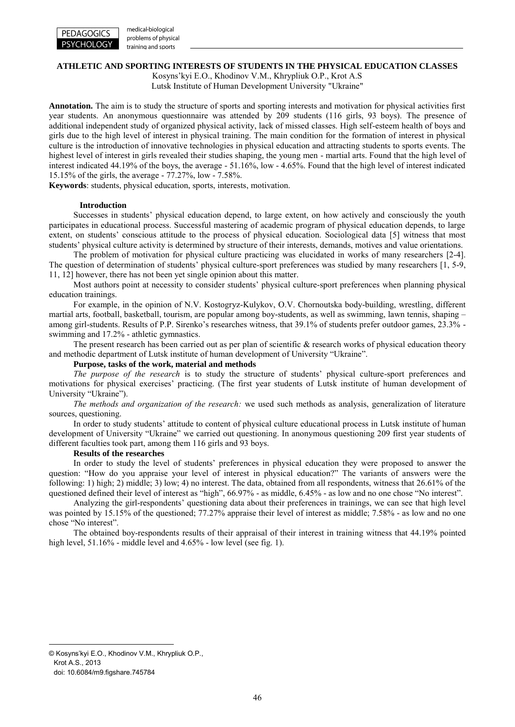

medical-biological problems of physical training and sports

#### **ATHLETIC AND SPORTING INTERESTS OF STUDENTS IN THE PHYSICAL EDUCATION CLASSES**

Kosyns'kyi E.О., Khodinov V.M., Khrypliuk O.P., Krot A.S Lutsk Institute of Human Development University "Ukraine"

**Annotation.** The aim is to study the structure of sports and sporting interests and motivation for physical activities first year students. An anonymous questionnaire was attended by 209 students (116 girls, 93 boys). The presence of additional independent study of organized physical activity, lack of missed classes. High self-esteem health of boys and girls due to the high level of interest in physical training. The main condition for the formation of interest in physical culture is the introduction of innovative technologies in physical education and attracting students to sports events. The highest level of interest in girls revealed their studies shaping, the young men - martial arts. Found that the high level of interest indicated 44.19% of the boys, the average - 51.16%, low - 4.65%. Found that the high level of interest indicated 15.15% of the girls, the average - 77.27%, low - 7.58%.

**Keywords**: students, physical education, sports, interests, motivation.

# **Introduction**

Successes in students' physical education depend, to large extent, on how actively and consciously the youth participates in educational process. Successful mastering of academic program of physical education depends, to large extent, on students' conscious attitude to the process of physical education. Sociological data [5] witness that most students' physical culture activity is determined by structure of their interests, demands, motives and value orientations.

The problem of motivation for physical culture practicing was elucidated in works of many researchers [2-4]. The question of determination of students' physical culture-sport preferences was studied by many researchers [1, 5-9, 11, 12] however, there has not been yet single opinion about this matter.

Most authors point at necessity to consider students' physical culture-sport preferences when planning physical education trainings.

For example, in the opinion of N.V. Kostogryz-Kulykov, O.V. Chornoutska body-building, wrestling, different martial arts, football, basketball, tourism, are popular among boy-students, as well as swimming, lawn tennis, shaping – among girl-students. Results of P.P. Sirenko's researches witness, that 39.1% of students prefer outdoor games, 23.3% swimming and 17.2% - athletic gymnastics.

The present research has been carried out as per plan of scientific  $\&$  research works of physical education theory and methodic department of Lutsk institute of human development of University "Ukraine".

## **Purpose, tasks of the work, material and methods**

*The purpose of the research* is to study the structure of students' physical culture-sport preferences and motivations for physical exercises' practicing. (The first year students of Lutsk institute of human development of University "Ukraine").

*The methods and organization of the research:* we used such methods as analysis, generalization of literature sources, questioning.

In order to study students' attitude to content of physical culture educational process in Lutsk institute of human development of University "Ukraine" we carried out questioning. In anonymous questioning 209 first year students of different faculties took part, among them 116 girls and 93 boys.

# **Results of the researches**

In order to study the level of students' preferences in physical education they were proposed to answer the question: "How do you appraise your level of interest in physical education?" The variants of answers were the following: 1) high; 2) middle; 3) low; 4) no interest. The data, obtained from all respondents, witness that 26.61% of the questioned defined their level of interest as "high", 66.97% - as middle, 6.45% - as low and no one chose "No interest".

Analyzing the girl-respondents' questioning data about their preferences in trainings, we can see that high level was pointed by 15.15% of the questioned; 77.27% appraise their level of interest as middle; 7.58% - as low and no one chose "No interest".

The obtained boy-respondents results of their appraisal of their interest in training witness that 44.19% pointed high level, 51.16% - middle level and 4.65% - low level (see fig. 1).

<u>.</u>

<sup>©</sup> Kosyns'kyi E.О., Khodinov V.M., Khrypliuk O.P., Krot A.S., 2013

doi: 10.6084/m9.figshare.745784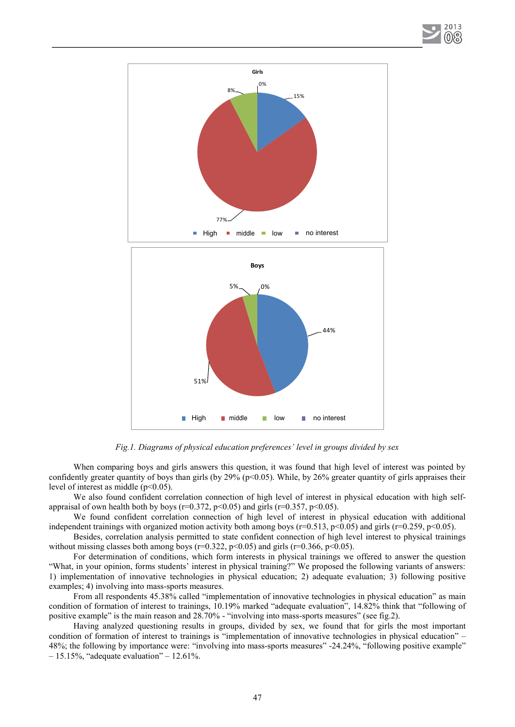



*Fig.1. Diagrams of physical education preferences' level in groups divided by sex* 

When comparing boys and girls answers this question, it was found that high level of interest was pointed by confidently greater quantity of boys than girls (by  $29\%$  (p<0.05). While, by 26% greater quantity of girls appraises their level of interest as middle  $(p<0.05)$ .

We also found confident correlation connection of high level of interest in physical education with high selfappraisal of own health both by boys ( $r=0.372$ ,  $p<0.05$ ) and girls ( $r=0.357$ ,  $p<0.05$ ).

We found confident correlation connection of high level of interest in physical education with additional independent trainings with organized motion activity both among boys ( $r=0.513$ ,  $p<0.05$ ) and girls ( $r=0.259$ ,  $p<0.05$ ).

Besides, correlation analysis permitted to state confident connection of high level interest to physical trainings without missing classes both among boys ( $r=0.322$ ,  $p<0.05$ ) and girls ( $r=0.366$ ,  $p<0.05$ ).

For determination of conditions, which form interests in physical trainings we offered to answer the question "What, in your opinion, forms students' interest in physical training?" We proposed the following variants of answers: 1) implementation of innovative technologies in physical education; 2) adequate evaluation; 3) following positive examples; 4) involving into mass-sports measures.

From all respondents 45.38% called "implementation of innovative technologies in physical education" as main condition of formation of interest to trainings, 10.19% marked "adequate evaluation", 14.82% think that "following of positive example" is the main reason and 28.70% - "involving into mass-sports measures" (see fig.2).

Having analyzed questioning results in groups, divided by sex, we found that for girls the most important condition of formation of interest to trainings is "implementation of innovative technologies in physical education" – 48%; the following by importance were: "involving into mass-sports measures" -24.24%, "following positive example"  $-15.15\%$ , "adequate evaluation"  $-12.61\%$ .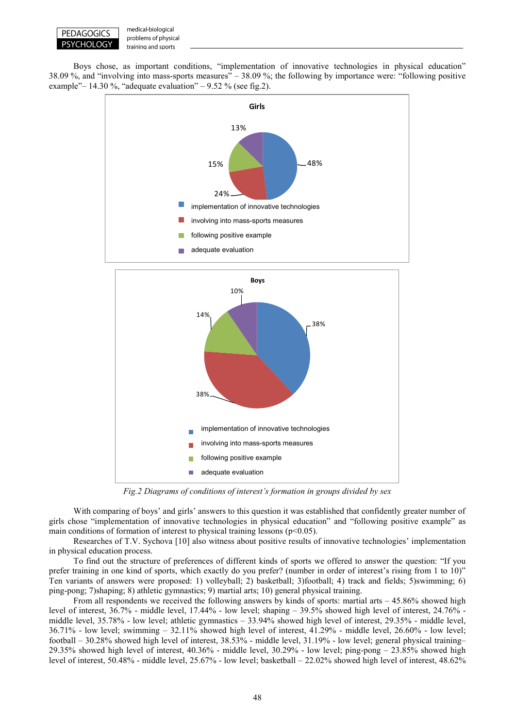

medical-biological problems of physical training and sports

Boys chose, as important conditions, "implementation of innovative technologies in physical education" 38.09 %, and "involving into mass-sports measures" – 38.09 %; the following by importance were: "following positive example" – 14.30 %, "adequate evaluation" – 9.52 % (see fig.2).



*Fig.2 Diagrams of conditions of interest's formation in groups divided by sex* 

With comparing of boys' and girls' answers to this question it was established that confidently greater number of girls chose "implementation of innovative technologies in physical education" and "following positive example" as main conditions of formation of interest to physical training lessons ( $p<0.05$ ).

Researches of T.V. Sychova [10] also witness about positive results of innovative technologies' implementation in physical education process.

To find out the structure of preferences of different kinds of sports we offered to answer the question: "If you prefer training in one kind of sports, which exactly do you prefer? (number in order of interest's rising from 1 to 10)" Ten variants of answers were proposed: 1) volleyball; 2) basketball; 3)football; 4) track and fields; 5)swimming; 6) ping-pong; 7)shaping; 8) athletic gymnastics; 9) martial arts; 10) general physical training.

From all respondents we received the following answers by kinds of sports: martial arts  $-45.86\%$  showed high level of interest, 36.7% - middle level, 17.44% - low level; shaping – 39.5% showed high level of interest, 24.76% middle level, 35.78% - low level; athletic gymnastics – 33.94% showed high level of interest, 29.35% - middle level, 36.71% - low level; swimming – 32.11% showed high level of interest, 41.29% - middle level, 26.60% - low level; football – 30.28% showed high level of interest, 38.53% - middle level, 31.19% - low level; general physical training– 29.35% showed high level of interest, 40.36% - middle level, 30.29% - low level; ping-pong – 23.85% showed high level of interest, 50.48% - middle level, 25.67% - low level; basketball – 22.02% showed high level of interest, 48.62%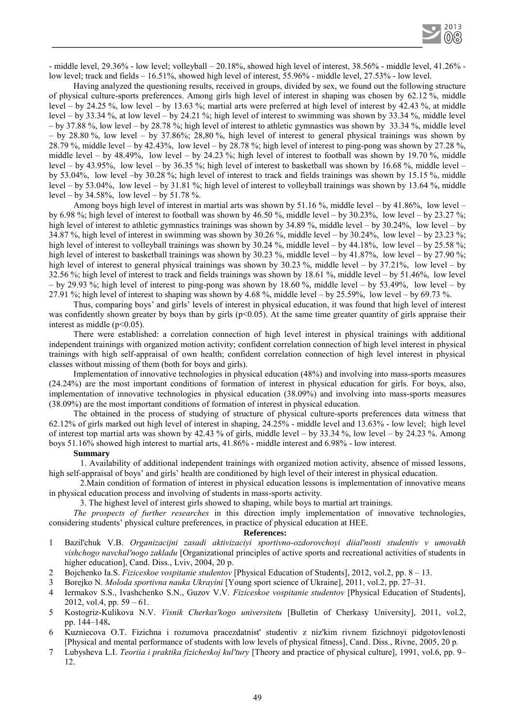- middle level, 29.36% - low level; volleyball – 20.18%, showed high level of interest, 38.56% - middle level, 41.26% low level; track and fields – 16.51%, showed high level of interest, 55.96% - middle level, 27.53% - low level.

Having analyzed the questioning results, received in groups, divided by sex, we found out the following structure of physical culture-sports preferences. Among girls high level of interest in shaping was chosen by 62.12 %, middle level – by 24.25 %, low level – by 13.63 %; martial arts were preferred at high level of interest by 42.43 %, at middle level – by 33.34 %, at low level – by 24.21 %; high level of interest to swimming was shown by 33.34 %, middle level – by 37.88 %, low level – by 28.78 %; high level of interest to athletic gymnastics was shown by 33.34 %, middle level – by 28.80 %, low level – by 37.86%; 28,80 %, high level of interest to general physical trainings was shown by 28.79 %, middle level – by 42.43%, low level – by 28.78 %; high level of interest to ping-pong was shown by 27.28 %, middle level – by 48.49%, low level – by 24.23 %; high level of interest to football was shown by 19.70 %, middle level – by 43.95%, low level – by 36.35 %; high level of interest to basketball was shown by 16.68 %, middle level – by 53.04%, low level –by 30.28 %; high level of interest to track and fields trainings was shown by 15.15 %, middle level – by 53.04%, low level – by  $31.81$  %; high level of interest to volleyball trainings was shown by 13.64 %, middle level – by  $34.58\%$ , low level – by  $51.78\%$ .

Among boys high level of interest in martial arts was shown by 51.16 %, middle level – by 41.86%, low level – by 6.98 %; high level of interest to football was shown by 46.50 %, middle level – by 30.23%, low level – by 23.27 %; high level of interest to athletic gymnastics trainings was shown by 34.89 %, middle level – by 30.24%, low level – by 34.87 %, high level of interest in swimming was shown by 30.26 %, middle level – by 30.24%, low level – by 23.23 %; high level of interest to volleyball trainings was shown by  $30.24\%$ , middle level – by  $44.18\%$ , low level – by  $25.58\%$ ; high level of interest to basketball trainings was shown by 30.23 %, middle level – by 41.87%, low level – by 27.90 %; high level of interest to general physical trainings was shown by 30.23 %, middle level – by 37.21%, low level – by 32.56 %; high level of interest to track and fields trainings was shown by 18.61 %, middle level – by 51.46%, low level – by 29.93 %; high level of interest to ping-pong was shown by 18.60 %, middle level – by 53.49%, low level – by 27.91 %; high level of interest to shaping was shown by 4.68 %, middle level – by 25.59%, low level – by 69.73 %.

Thus, comparing boys' and girls' levels of interest in physical education, it was found that high level of interest was confidently shown greater by boys than by girls  $(p<0.05)$ . At the same time greater quantity of girls appraise their interest as middle  $(p<0.05)$ .

There were established: a correlation connection of high level interest in physical trainings with additional independent trainings with organized motion activity; confident correlation connection of high level interest in physical trainings with high self-appraisal of own health; confident correlation connection of high level interest in physical classes without missing of them (both for boys and girls).

Implementation of innovative technologies in physical education (48%) and involving into mass-sports measures (24.24%) are the most important conditions of formation of interest in physical education for girls. For boys, also, implementation of innovative technologies in physical education (38.09%) and involving into mass-sports measures (38.09%) are the most important conditions of formation of interest in physical education.

The obtained in the process of studying of structure of physical culture-sports preferences data witness that 62.12% of girls marked out high level of interest in shaping, 24.25% - middle level and 13.63% - low level; high level of interest top martial arts was shown by 42.43 % of girls, middle level – by 33.34 %, low level – by 24.23 %. Among boys 51.16% showed high interest to martial arts, 41.86% - middle interest and 6.98% - low interest.

# **Summary**

1. Availability of additional independent trainings with organized motion activity, absence of missed lessons, high self-appraisal of boys' and girls' health are conditioned by high level of their interest in physical education.

2.Main condition of formation of interest in physical education lessons is implementation of innovative means in physical education process and involving of students in mass-sports activity.

3. The highest level of interest girls showed to shaping, while boys to martial art trainings.

*The prospects of further researches* in this direction imply implementation of innovative technologies, considering students' physical culture preferences, in practice of physical education at HEE.

## **References:**

- 1 Bazil'chuk V.B. *Organizacijni zasadi aktivizaciyi sportivno-ozdorovchoyi diial'nosti studentiv v umovakh vishchogo navchal'nogo zakladu* [Organizational principles of active sports and recreational activities of students in higher education], Cand. Diss., Lviv, 2004, 20 p.
- 2 Bojchenko Ia.S. *Fiziceskoe vospitanie studentov* [Physical Education of Students], 2012, vol.2, pp. 8 13.
- 3 Borejko N. *Moloda sportivna nauka Ukrayini* [Young sport science of Ukraine], 2011, vol.2, pp. 27–31.
- 4 Iermakov S.S., Ivashchenko S.N., Guzov V.V. *Fiziceskoe vospitanie studentov* [Physical Education of Students], 2012, vol.4, pp.  $59 - 61$ .
- 5 Kostogriz-Kulikova N.V. *Visnik Cherkas'kogo universitetu* [Bulletin of Cherkasy University], 2011, vol.2, pp. 144–148**.**
- 6 Kuzniecova O.T. Fizichna i rozumova pracezdatnist' studentiv z niz'kim rivnem fizichnoyi pidgotovlenosti [Physical and mental performance of students with low levels of physical fitness], Cand. Diss., Rivne, 2005, 20 p.
- 7 Lubysheva L.I. *Teoriia i praktika fizicheskoj kul'tury* [Theory and practice of physical culture], 1991, vol.6, pp. 9– 12.